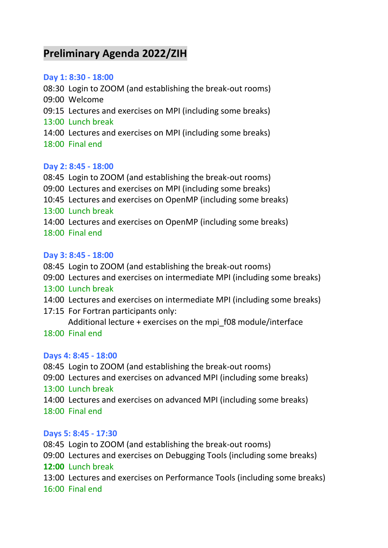# **Preliminary Agenda 2022/ZIH**

### **Day 1: 8:30 - 18:00**

08:30 Login to ZOOM (and establishing the break-out rooms) 09:00 Welcome 09:15 Lectures and exercises on MPI (including some breaks) 13:00 Lunch break 14:00 Lectures and exercises on MPI (including some breaks) 18:00 Final end

## **Day 2: 8:45 - 18:00**

08:45 Login to ZOOM (and establishing the break-out rooms) 09:00 Lectures and exercises on MPI (including some breaks) 10:45 Lectures and exercises on OpenMP (including some breaks) 13:00 Lunch break 14:00 Lectures and exercises on OpenMP (including some breaks) 18:00 Final end

## **Day 3: 8:45 - 18:00**

- 08:45 Login to ZOOM (and establishing the break-out rooms)
- 09:00 Lectures and exercises on intermediate MPI (including some breaks)
- 13:00 Lunch break
- 14:00 Lectures and exercises on intermediate MPI (including some breaks)
- 17:15 For Fortran participants only:
	- Additional lecture + exercises on the mpi\_f08 module/interface
- 18:00 Final end

## **Days 4: 8:45 - 18:00**

08:45 Login to ZOOM (and establishing the break-out rooms)

- 09:00 Lectures and exercises on advanced MPI (including some breaks)
- 13:00 Lunch break
- 14:00 Lectures and exercises on advanced MPI (including some breaks) 18:00 Final end

## **Days 5: 8:45 - 17:30**

- 08:45 Login to ZOOM (and establishing the break-out rooms)
- 09:00 Lectures and exercises on Debugging Tools (including some breaks)
- **12:00** Lunch break
- 13:00 Lectures and exercises on Performance Tools (including some breaks)
- 16:00 Final end